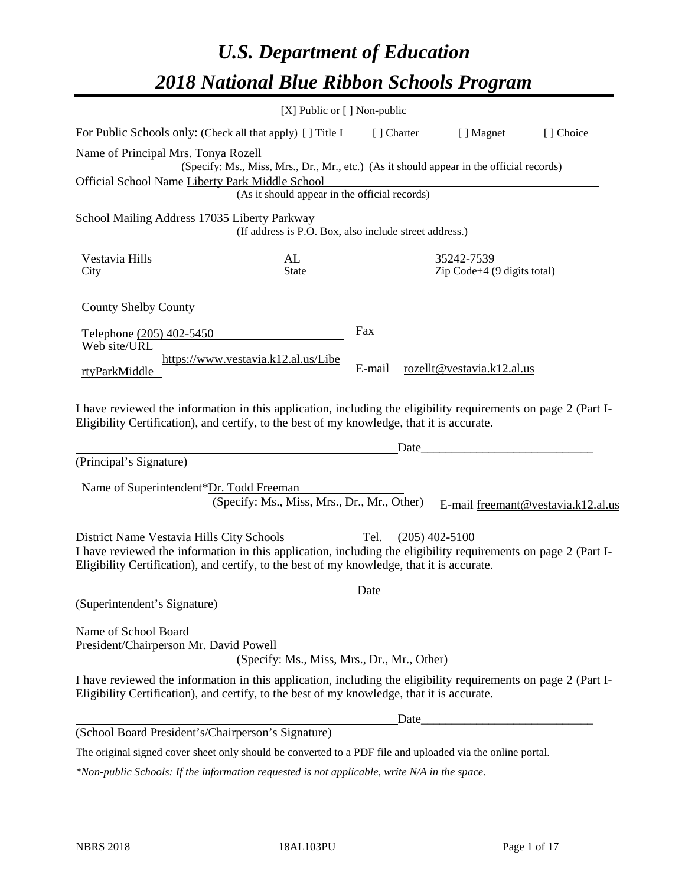# *U.S. Department of Education 2018 National Blue Ribbon Schools Program*

|                                                                                                                                                                                                              | [X] Public or [] Non-public                                                                                  |        |                                                               |                                    |
|--------------------------------------------------------------------------------------------------------------------------------------------------------------------------------------------------------------|--------------------------------------------------------------------------------------------------------------|--------|---------------------------------------------------------------|------------------------------------|
| For Public Schools only: (Check all that apply) [] Title I [] Charter [] Magnet                                                                                                                              |                                                                                                              |        |                                                               | [] Choice                          |
| Name of Principal Mrs. Tonya Rozell                                                                                                                                                                          |                                                                                                              |        |                                                               |                                    |
|                                                                                                                                                                                                              | rs. Tonya Rozell<br>(Specify: Ms., Miss, Mrs., Dr., Mr., etc.) (As it should appear in the official records) |        |                                                               |                                    |
| Official School Name Liberty Park Middle School                                                                                                                                                              |                                                                                                              |        |                                                               |                                    |
|                                                                                                                                                                                                              | (As it should appear in the official records)                                                                |        |                                                               |                                    |
| School Mailing Address 17035 Liberty Parkway                                                                                                                                                                 |                                                                                                              |        |                                                               |                                    |
|                                                                                                                                                                                                              | (If address is P.O. Box, also include street address.)                                                       |        |                                                               |                                    |
|                                                                                                                                                                                                              |                                                                                                              |        |                                                               |                                    |
| $\overline{C}$ ity                                                                                                                                                                                           |                                                                                                              |        |                                                               |                                    |
|                                                                                                                                                                                                              |                                                                                                              |        |                                                               |                                    |
| County Shelby County                                                                                                                                                                                         |                                                                                                              |        |                                                               |                                    |
| Telephone (205) 402-5450                                                                                                                                                                                     |                                                                                                              | Fax    |                                                               |                                    |
| Web site/URL                                                                                                                                                                                                 |                                                                                                              |        |                                                               |                                    |
| rtyParkMiddle                                                                                                                                                                                                | https://www.vestavia.k12.al.us/Libe                                                                          | E-mail | rozellt@vestavia.k12.al.us                                    |                                    |
|                                                                                                                                                                                                              |                                                                                                              |        |                                                               |                                    |
| (Principal's Signature)<br>Name of Superintendent*Dr. Todd Freeman                                                                                                                                           |                                                                                                              | Date   | <u> 1980 - Johann Barn, mars an t-Amerikaansk politiker (</u> |                                    |
|                                                                                                                                                                                                              | (Specify: Ms., Miss, Mrs., Dr., Mr., Other)                                                                  |        |                                                               | E-mail freemant@vestavia.k12.al.us |
| District Name Vestavia Hills City Schools Tel. (205) 402-5100                                                                                                                                                |                                                                                                              |        |                                                               |                                    |
| I have reviewed the information in this application, including the eligibility requirements on page 2 (Part I-                                                                                               |                                                                                                              |        |                                                               |                                    |
| Eligibility Certification), and certify, to the best of my knowledge, that it is accurate.                                                                                                                   |                                                                                                              |        |                                                               |                                    |
|                                                                                                                                                                                                              |                                                                                                              | Date   |                                                               |                                    |
| (Superintendent's Signature)                                                                                                                                                                                 |                                                                                                              |        |                                                               |                                    |
| Name of School Board                                                                                                                                                                                         |                                                                                                              |        |                                                               |                                    |
| President/Chairperson Mr. David Powell                                                                                                                                                                       |                                                                                                              |        |                                                               |                                    |
|                                                                                                                                                                                                              | (Specify: Ms., Miss, Mrs., Dr., Mr., Other)                                                                  |        |                                                               |                                    |
| I have reviewed the information in this application, including the eligibility requirements on page 2 (Part I-<br>Eligibility Certification), and certify, to the best of my knowledge, that it is accurate. |                                                                                                              |        |                                                               |                                    |
|                                                                                                                                                                                                              |                                                                                                              | Date   |                                                               |                                    |
| (School Board President's/Chairperson's Signature)                                                                                                                                                           |                                                                                                              |        |                                                               |                                    |
| The original signed cover sheet only should be converted to a PDF file and uploaded via the online portal.                                                                                                   |                                                                                                              |        |                                                               |                                    |

*\*Non-public Schools: If the information requested is not applicable, write N/A in the space.*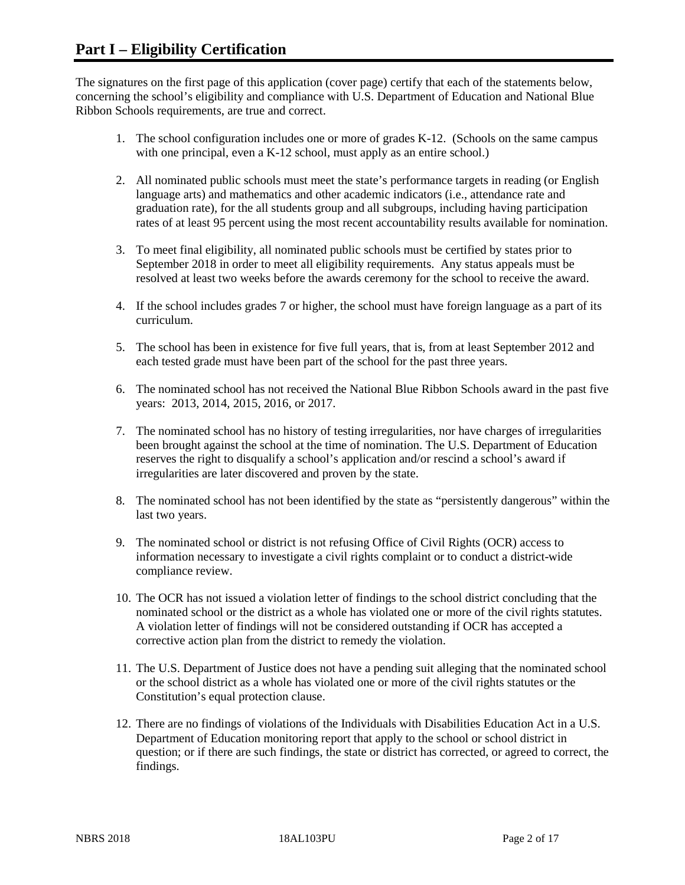The signatures on the first page of this application (cover page) certify that each of the statements below, concerning the school's eligibility and compliance with U.S. Department of Education and National Blue Ribbon Schools requirements, are true and correct.

- 1. The school configuration includes one or more of grades K-12. (Schools on the same campus with one principal, even a K-12 school, must apply as an entire school.)
- 2. All nominated public schools must meet the state's performance targets in reading (or English language arts) and mathematics and other academic indicators (i.e., attendance rate and graduation rate), for the all students group and all subgroups, including having participation rates of at least 95 percent using the most recent accountability results available for nomination.
- 3. To meet final eligibility, all nominated public schools must be certified by states prior to September 2018 in order to meet all eligibility requirements. Any status appeals must be resolved at least two weeks before the awards ceremony for the school to receive the award.
- 4. If the school includes grades 7 or higher, the school must have foreign language as a part of its curriculum.
- 5. The school has been in existence for five full years, that is, from at least September 2012 and each tested grade must have been part of the school for the past three years.
- 6. The nominated school has not received the National Blue Ribbon Schools award in the past five years: 2013, 2014, 2015, 2016, or 2017.
- 7. The nominated school has no history of testing irregularities, nor have charges of irregularities been brought against the school at the time of nomination. The U.S. Department of Education reserves the right to disqualify a school's application and/or rescind a school's award if irregularities are later discovered and proven by the state.
- 8. The nominated school has not been identified by the state as "persistently dangerous" within the last two years.
- 9. The nominated school or district is not refusing Office of Civil Rights (OCR) access to information necessary to investigate a civil rights complaint or to conduct a district-wide compliance review.
- 10. The OCR has not issued a violation letter of findings to the school district concluding that the nominated school or the district as a whole has violated one or more of the civil rights statutes. A violation letter of findings will not be considered outstanding if OCR has accepted a corrective action plan from the district to remedy the violation.
- 11. The U.S. Department of Justice does not have a pending suit alleging that the nominated school or the school district as a whole has violated one or more of the civil rights statutes or the Constitution's equal protection clause.
- 12. There are no findings of violations of the Individuals with Disabilities Education Act in a U.S. Department of Education monitoring report that apply to the school or school district in question; or if there are such findings, the state or district has corrected, or agreed to correct, the findings.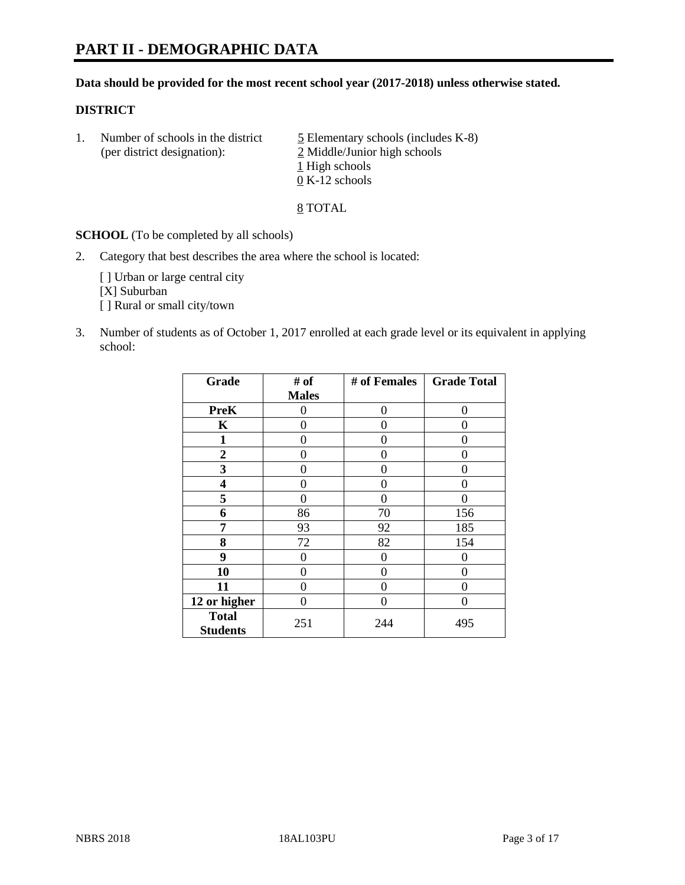#### **Data should be provided for the most recent school year (2017-2018) unless otherwise stated.**

### **DISTRICT**

1. Number of schools in the district  $\frac{5}{2}$  Elementary schools (includes K-8) (per district designation): 2 Middle/Junior high schools 1 High schools 0 K-12 schools

8 TOTAL

**SCHOOL** (To be completed by all schools)

2. Category that best describes the area where the school is located:

[] Urban or large central city [X] Suburban [] Rural or small city/town

3. Number of students as of October 1, 2017 enrolled at each grade level or its equivalent in applying school:

| Grade                           | # of         | # of Females | <b>Grade Total</b> |
|---------------------------------|--------------|--------------|--------------------|
|                                 | <b>Males</b> |              |                    |
| <b>PreK</b>                     | 0            | 0            | 0                  |
| K                               | 0            | 0            | 0                  |
| $\mathbf{1}$                    | 0            | 0            | 0                  |
| 2                               | 0            | 0            | 0                  |
| 3                               | 0            | 0            | 0                  |
| 4                               | 0            | 0            | 0                  |
| 5                               | 0            | 0            | 0                  |
| 6                               | 86           | 70           | 156                |
| 7                               | 93           | 92           | 185                |
| 8                               | 72           | 82           | 154                |
| 9                               | 0            | 0            | 0                  |
| 10                              | 0            | 0            | 0                  |
| 11                              | 0            | 0            | 0                  |
| 12 or higher                    | 0            | 0            | 0                  |
| <b>Total</b><br><b>Students</b> | 251          | 244          | 495                |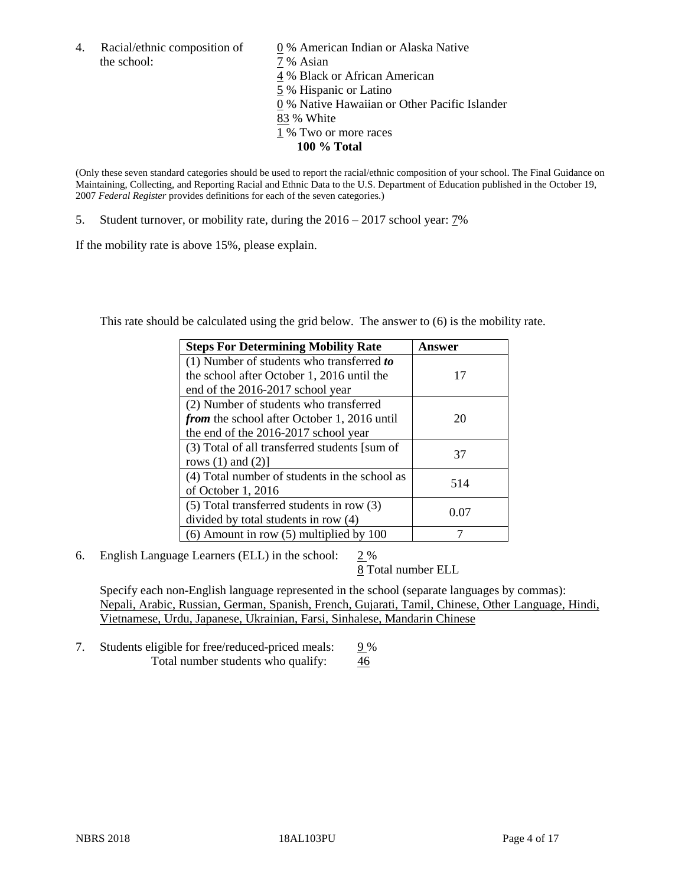4. Racial/ethnic composition of  $\qquad 0\%$  American Indian or Alaska Native the school:  $7\%$  Asian

 % Black or African American % Hispanic or Latino % Native Hawaiian or Other Pacific Islander 83 % White % Two or more races **100 % Total**

(Only these seven standard categories should be used to report the racial/ethnic composition of your school. The Final Guidance on Maintaining, Collecting, and Reporting Racial and Ethnic Data to the U.S. Department of Education published in the October 19, 2007 *Federal Register* provides definitions for each of the seven categories.)

5. Student turnover, or mobility rate, during the 2016 – 2017 school year: 7%

If the mobility rate is above 15%, please explain.

This rate should be calculated using the grid below. The answer to (6) is the mobility rate.

| <b>Steps For Determining Mobility Rate</b>         | Answer |
|----------------------------------------------------|--------|
| (1) Number of students who transferred to          |        |
| the school after October 1, 2016 until the         | 17     |
| end of the 2016-2017 school year                   |        |
| (2) Number of students who transferred             |        |
| <i>from</i> the school after October 1, 2016 until | 20     |
| the end of the 2016-2017 school year               |        |
| (3) Total of all transferred students [sum of      | 37     |
| rows $(1)$ and $(2)$ ]                             |        |
| (4) Total number of students in the school as      |        |
| of October 1, 2016                                 | 514    |
| (5) Total transferred students in row (3)          |        |
| divided by total students in row (4)               | 0.07   |
| $(6)$ Amount in row $(5)$ multiplied by 100        |        |

6. English Language Learners (ELL) in the school:  $2\%$ 

8 Total number ELL

Specify each non-English language represented in the school (separate languages by commas): Nepali, Arabic, Russian, German, Spanish, French, Gujarati, Tamil, Chinese, Other Language, Hindi, Vietnamese, Urdu, Japanese, Ukrainian, Farsi, Sinhalese, Mandarin Chinese

7. Students eligible for free/reduced-priced meals:  $9\%$ Total number students who qualify: 46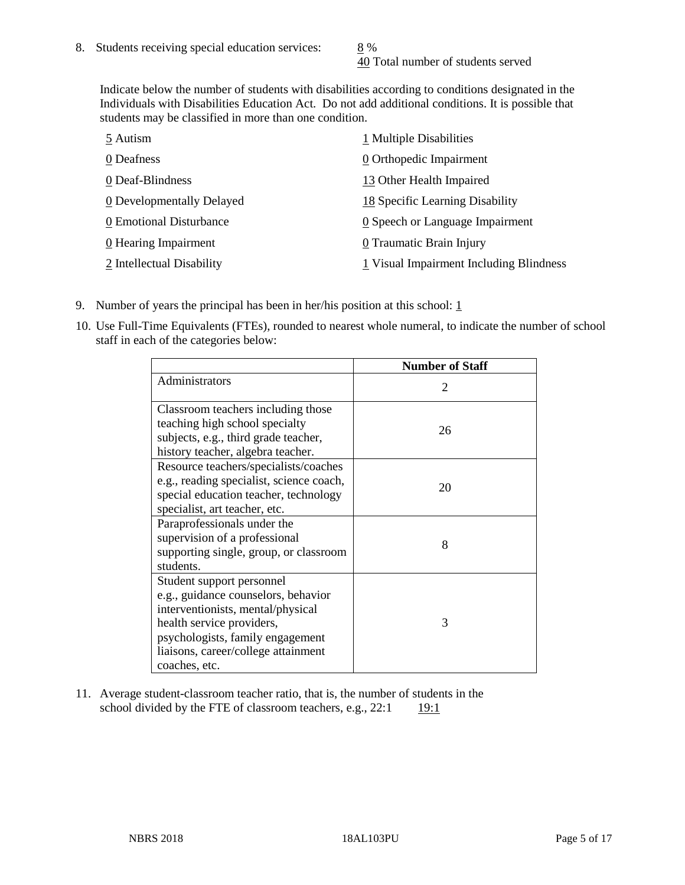40 Total number of students served

Indicate below the number of students with disabilities according to conditions designated in the Individuals with Disabilities Education Act. Do not add additional conditions. It is possible that students may be classified in more than one condition.

| 5 Autism                           | 1 Multiple Disabilities                 |
|------------------------------------|-----------------------------------------|
| 0 Deafness                         | 0 Orthopedic Impairment                 |
| 0 Deaf-Blindness                   | 13 Other Health Impaired                |
| 0 Developmentally Delayed          | 18 Specific Learning Disability         |
| 0 Emotional Disturbance            | 0 Speech or Language Impairment         |
| $\underline{0}$ Hearing Impairment | 0 Traumatic Brain Injury                |
| 2 Intellectual Disability          | 1 Visual Impairment Including Blindness |

- 9. Number of years the principal has been in her/his position at this school:  $1$
- 10. Use Full-Time Equivalents (FTEs), rounded to nearest whole numeral, to indicate the number of school staff in each of the categories below:

|                                                                                                                                                                                                                                | <b>Number of Staff</b>      |
|--------------------------------------------------------------------------------------------------------------------------------------------------------------------------------------------------------------------------------|-----------------------------|
| Administrators                                                                                                                                                                                                                 | $\mathcal{D}_{\mathcal{L}}$ |
| Classroom teachers including those<br>teaching high school specialty<br>subjects, e.g., third grade teacher,<br>history teacher, algebra teacher.                                                                              | 26                          |
| Resource teachers/specialists/coaches<br>e.g., reading specialist, science coach,<br>special education teacher, technology<br>specialist, art teacher, etc.                                                                    | 20                          |
| Paraprofessionals under the<br>supervision of a professional<br>supporting single, group, or classroom<br>students.                                                                                                            | 8                           |
| Student support personnel<br>e.g., guidance counselors, behavior<br>interventionists, mental/physical<br>health service providers,<br>psychologists, family engagement<br>liaisons, career/college attainment<br>coaches, etc. | 3                           |

11. Average student-classroom teacher ratio, that is, the number of students in the school divided by the FTE of classroom teachers, e.g.,  $22:1$  19:1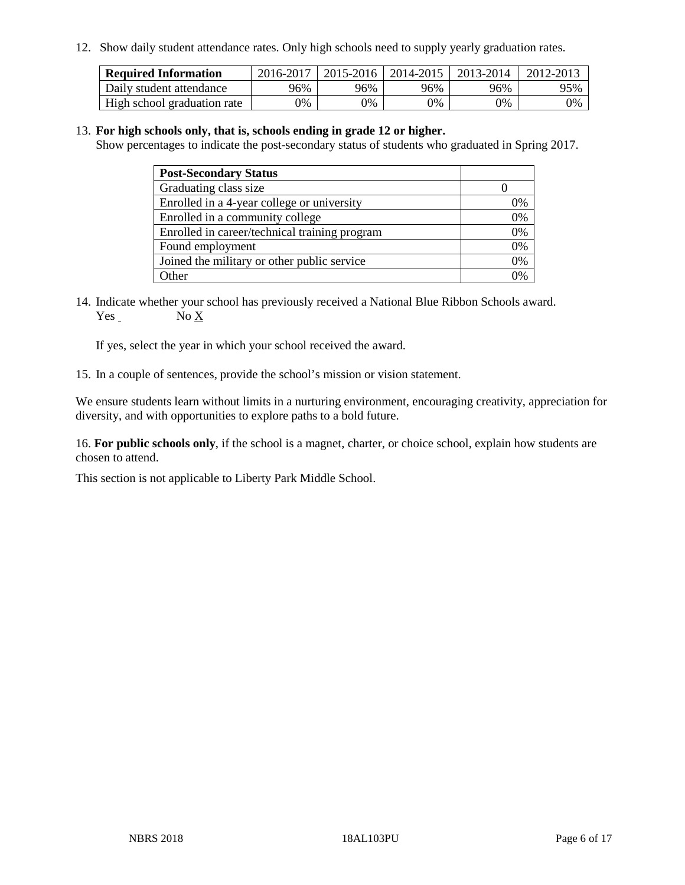12. Show daily student attendance rates. Only high schools need to supply yearly graduation rates.

| <b>Required Information</b> | 2016-2017 | $2015 - 2016$ | 2014-2015 | 2013-2014 | 2012-2013 |
|-----------------------------|-----------|---------------|-----------|-----------|-----------|
| Daily student attendance    | 96%       | 96%           | 96%       | 96%       | 95%       |
| High school graduation rate | 0%        | 0%            | 0%        | 9%        | 0%        |

#### 13. **For high schools only, that is, schools ending in grade 12 or higher.**

Show percentages to indicate the post-secondary status of students who graduated in Spring 2017.

| <b>Post-Secondary Status</b>                  |              |
|-----------------------------------------------|--------------|
| Graduating class size                         |              |
| Enrolled in a 4-year college or university    | 0%           |
| Enrolled in a community college               | 0%           |
| Enrolled in career/technical training program | 0%           |
| Found employment                              | 0%           |
| Joined the military or other public service   | 0%           |
| Other                                         | $\gamma_{0}$ |

14. Indicate whether your school has previously received a National Blue Ribbon Schools award. Yes No X

If yes, select the year in which your school received the award.

15. In a couple of sentences, provide the school's mission or vision statement.

We ensure students learn without limits in a nurturing environment, encouraging creativity, appreciation for diversity, and with opportunities to explore paths to a bold future.

16. **For public schools only**, if the school is a magnet, charter, or choice school, explain how students are chosen to attend.

This section is not applicable to Liberty Park Middle School.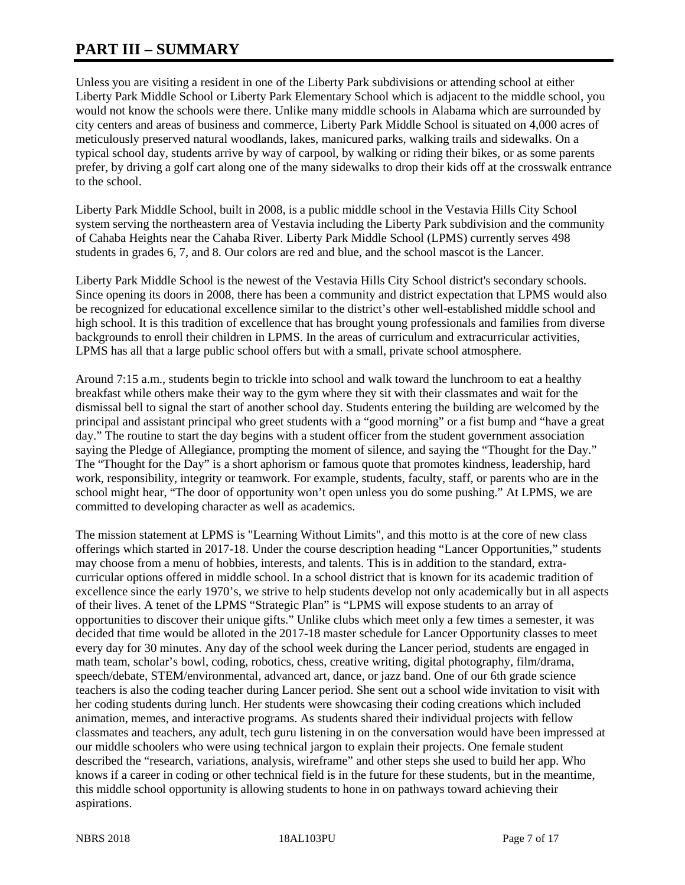# **PART III – SUMMARY**

Unless you are visiting a resident in one of the Liberty Park subdivisions or attending school at either Liberty Park Middle School or Liberty Park Elementary School which is adjacent to the middle school, you would not know the schools were there. Unlike many middle schools in Alabama which are surrounded by city centers and areas of business and commerce, Liberty Park Middle School is situated on 4,000 acres of meticulously preserved natural woodlands, lakes, manicured parks, walking trails and sidewalks. On a typical school day, students arrive by way of carpool, by walking or riding their bikes, or as some parents prefer, by driving a golf cart along one of the many sidewalks to drop their kids off at the crosswalk entrance to the school.

Liberty Park Middle School, built in 2008, is a public middle school in the Vestavia Hills City School system serving the northeastern area of Vestavia including the Liberty Park subdivision and the community of Cahaba Heights near the Cahaba River. Liberty Park Middle School (LPMS) currently serves 498 students in grades 6, 7, and 8. Our colors are red and blue, and the school mascot is the Lancer.

Liberty Park Middle School is the newest of the Vestavia Hills City School district's secondary schools. Since opening its doors in 2008, there has been a community and district expectation that LPMS would also be recognized for educational excellence similar to the district's other well-established middle school and high school. It is this tradition of excellence that has brought young professionals and families from diverse backgrounds to enroll their children in LPMS. In the areas of curriculum and extracurricular activities, LPMS has all that a large public school offers but with a small, private school atmosphere.

Around 7:15 a.m., students begin to trickle into school and walk toward the lunchroom to eat a healthy breakfast while others make their way to the gym where they sit with their classmates and wait for the dismissal bell to signal the start of another school day. Students entering the building are welcomed by the principal and assistant principal who greet students with a "good morning" or a fist bump and "have a great day." The routine to start the day begins with a student officer from the student government association saying the Pledge of Allegiance, prompting the moment of silence, and saying the "Thought for the Day." The "Thought for the Day" is a short aphorism or famous quote that promotes kindness, leadership, hard work, responsibility, integrity or teamwork. For example, students, faculty, staff, or parents who are in the school might hear, "The door of opportunity won't open unless you do some pushing." At LPMS, we are committed to developing character as well as academics.

The mission statement at LPMS is "Learning Without Limits", and this motto is at the core of new class offerings which started in 2017-18. Under the course description heading "Lancer Opportunities," students may choose from a menu of hobbies, interests, and talents. This is in addition to the standard, extracurricular options offered in middle school. In a school district that is known for its academic tradition of excellence since the early 1970's, we strive to help students develop not only academically but in all aspects of their lives. A tenet of the LPMS "Strategic Plan" is "LPMS will expose students to an array of opportunities to discover their unique gifts." Unlike clubs which meet only a few times a semester, it was decided that time would be alloted in the 2017-18 master schedule for Lancer Opportunity classes to meet every day for 30 minutes. Any day of the school week during the Lancer period, students are engaged in math team, scholar's bowl, coding, robotics, chess, creative writing, digital photography, film/drama, speech/debate, STEM/environmental, advanced art, dance, or jazz band. One of our 6th grade science teachers is also the coding teacher during Lancer period. She sent out a school wide invitation to visit with her coding students during lunch. Her students were showcasing their coding creations which included animation, memes, and interactive programs. As students shared their individual projects with fellow classmates and teachers, any adult, tech guru listening in on the conversation would have been impressed at our middle schoolers who were using technical jargon to explain their projects. One female student described the "research, variations, analysis, wireframe" and other steps she used to build her app. Who knows if a career in coding or other technical field is in the future for these students, but in the meantime, this middle school opportunity is allowing students to hone in on pathways toward achieving their aspirations.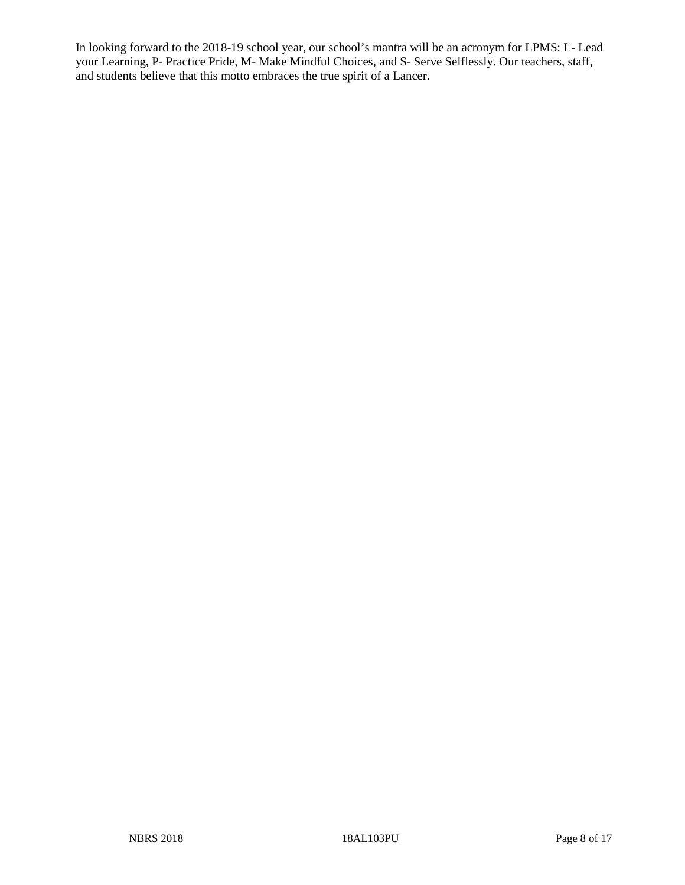In looking forward to the 2018-19 school year, our school's mantra will be an acronym for LPMS: L- Lead your Learning, P- Practice Pride, M- Make Mindful Choices, and S- Serve Selflessly. Our teachers, staff, and students believe that this motto embraces the true spirit of a Lancer.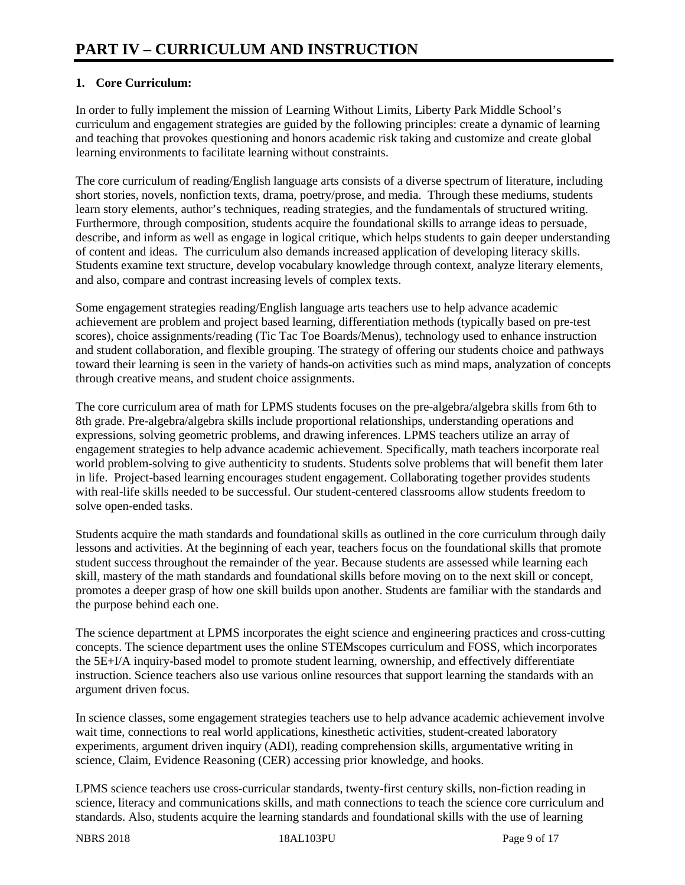## **1. Core Curriculum:**

In order to fully implement the mission of Learning Without Limits, Liberty Park Middle School's curriculum and engagement strategies are guided by the following principles: create a dynamic of learning and teaching that provokes questioning and honors academic risk taking and customize and create global learning environments to facilitate learning without constraints.

The core curriculum of reading/English language arts consists of a diverse spectrum of literature, including short stories, novels, nonfiction texts, drama, poetry/prose, and media. Through these mediums, students learn story elements, author's techniques, reading strategies, and the fundamentals of structured writing. Furthermore, through composition, students acquire the foundational skills to arrange ideas to persuade, describe, and inform as well as engage in logical critique, which helps students to gain deeper understanding of content and ideas. The curriculum also demands increased application of developing literacy skills. Students examine text structure, develop vocabulary knowledge through context, analyze literary elements, and also, compare and contrast increasing levels of complex texts.

Some engagement strategies reading/English language arts teachers use to help advance academic achievement are problem and project based learning, differentiation methods (typically based on pre-test scores), choice assignments/reading (Tic Tac Toe Boards/Menus), technology used to enhance instruction and student collaboration, and flexible grouping. The strategy of offering our students choice and pathways toward their learning is seen in the variety of hands-on activities such as mind maps, analyzation of concepts through creative means, and student choice assignments.

The core curriculum area of math for LPMS students focuses on the pre-algebra/algebra skills from 6th to 8th grade. Pre-algebra/algebra skills include proportional relationships, understanding operations and expressions, solving geometric problems, and drawing inferences. LPMS teachers utilize an array of engagement strategies to help advance academic achievement. Specifically, math teachers incorporate real world problem-solving to give authenticity to students. Students solve problems that will benefit them later in life. Project-based learning encourages student engagement. Collaborating together provides students with real-life skills needed to be successful. Our student-centered classrooms allow students freedom to solve open-ended tasks.

Students acquire the math standards and foundational skills as outlined in the core curriculum through daily lessons and activities. At the beginning of each year, teachers focus on the foundational skills that promote student success throughout the remainder of the year. Because students are assessed while learning each skill, mastery of the math standards and foundational skills before moving on to the next skill or concept, promotes a deeper grasp of how one skill builds upon another. Students are familiar with the standards and the purpose behind each one.

The science department at LPMS incorporates the eight science and engineering practices and cross-cutting concepts. The science department uses the online STEMscopes curriculum and FOSS, which incorporates the 5E+I/A inquiry-based model to promote student learning, ownership, and effectively differentiate instruction. Science teachers also use various online resources that support learning the standards with an argument driven focus.

In science classes, some engagement strategies teachers use to help advance academic achievement involve wait time, connections to real world applications, kinesthetic activities, student-created laboratory experiments, argument driven inquiry (ADI), reading comprehension skills, argumentative writing in science, Claim, Evidence Reasoning (CER) accessing prior knowledge, and hooks.

LPMS science teachers use cross-curricular standards, twenty-first century skills, non-fiction reading in science, literacy and communications skills, and math connections to teach the science core curriculum and standards. Also, students acquire the learning standards and foundational skills with the use of learning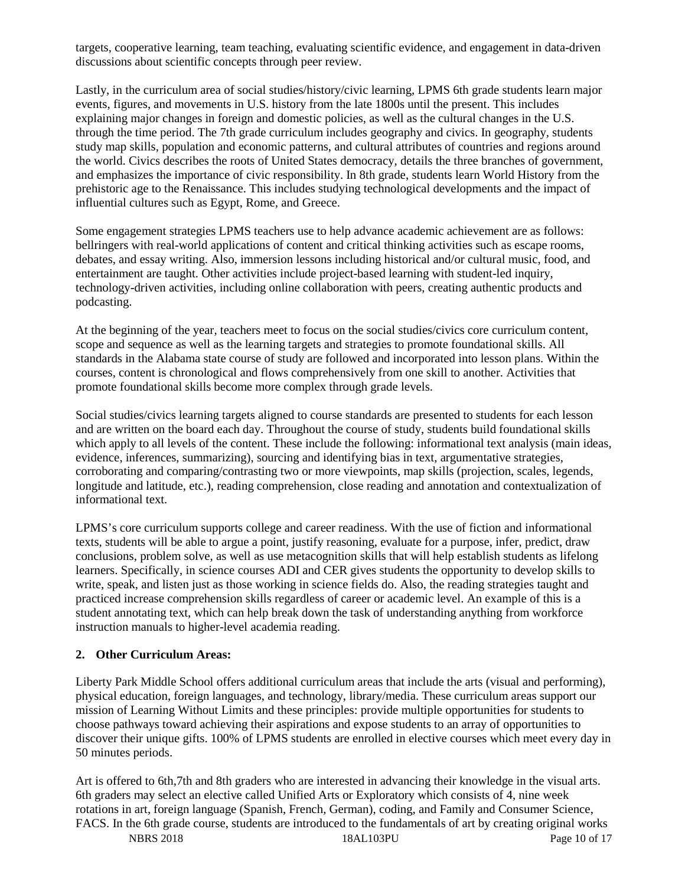targets, cooperative learning, team teaching, evaluating scientific evidence, and engagement in data-driven discussions about scientific concepts through peer review.

Lastly, in the curriculum area of social studies/history/civic learning, LPMS 6th grade students learn major events, figures, and movements in U.S. history from the late 1800s until the present. This includes explaining major changes in foreign and domestic policies, as well as the cultural changes in the U.S. through the time period. The 7th grade curriculum includes geography and civics. In geography, students study map skills, population and economic patterns, and cultural attributes of countries and regions around the world. Civics describes the roots of United States democracy, details the three branches of government, and emphasizes the importance of civic responsibility. In 8th grade, students learn World History from the prehistoric age to the Renaissance. This includes studying technological developments and the impact of influential cultures such as Egypt, Rome, and Greece.

Some engagement strategies LPMS teachers use to help advance academic achievement are as follows: bellringers with real-world applications of content and critical thinking activities such as escape rooms, debates, and essay writing. Also, immersion lessons including historical and/or cultural music, food, and entertainment are taught. Other activities include project-based learning with student-led inquiry, technology-driven activities, including online collaboration with peers, creating authentic products and podcasting.

At the beginning of the year, teachers meet to focus on the social studies/civics core curriculum content, scope and sequence as well as the learning targets and strategies to promote foundational skills. All standards in the Alabama state course of study are followed and incorporated into lesson plans. Within the courses, content is chronological and flows comprehensively from one skill to another. Activities that promote foundational skills become more complex through grade levels.

Social studies/civics learning targets aligned to course standards are presented to students for each lesson and are written on the board each day. Throughout the course of study, students build foundational skills which apply to all levels of the content. These include the following: informational text analysis (main ideas, evidence, inferences, summarizing), sourcing and identifying bias in text, argumentative strategies, corroborating and comparing/contrasting two or more viewpoints, map skills (projection, scales, legends, longitude and latitude, etc.), reading comprehension, close reading and annotation and contextualization of informational text.

LPMS's core curriculum supports college and career readiness. With the use of fiction and informational texts, students will be able to argue a point, justify reasoning, evaluate for a purpose, infer, predict, draw conclusions, problem solve, as well as use metacognition skills that will help establish students as lifelong learners. Specifically, in science courses ADI and CER gives students the opportunity to develop skills to write, speak, and listen just as those working in science fields do. Also, the reading strategies taught and practiced increase comprehension skills regardless of career or academic level. An example of this is a student annotating text, which can help break down the task of understanding anything from workforce instruction manuals to higher-level academia reading.

#### **2. Other Curriculum Areas:**

Liberty Park Middle School offers additional curriculum areas that include the arts (visual and performing), physical education, foreign languages, and technology, library/media. These curriculum areas support our mission of Learning Without Limits and these principles: provide multiple opportunities for students to choose pathways toward achieving their aspirations and expose students to an array of opportunities to discover their unique gifts. 100% of LPMS students are enrolled in elective courses which meet every day in 50 minutes periods.

Art is offered to 6th,7th and 8th graders who are interested in advancing their knowledge in the visual arts. 6th graders may select an elective called Unified Arts or Exploratory which consists of 4, nine week rotations in art, foreign language (Spanish, French, German), coding, and Family and Consumer Science, FACS. In the 6th grade course, students are introduced to the fundamentals of art by creating original works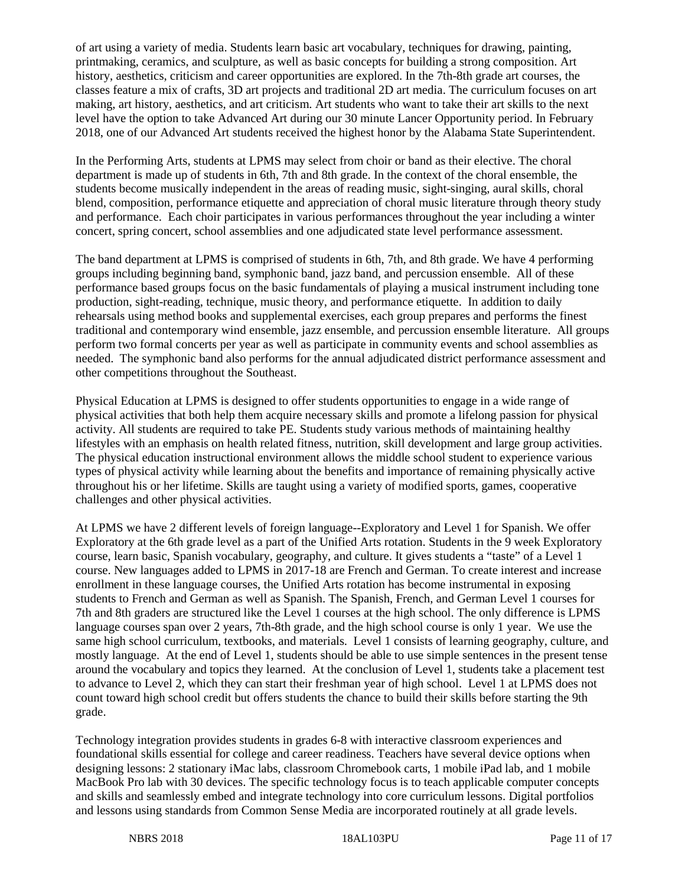of art using a variety of media. Students learn basic art vocabulary, techniques for drawing, painting, printmaking, ceramics, and sculpture, as well as basic concepts for building a strong composition. Art history, aesthetics, criticism and career opportunities are explored. In the 7th-8th grade art courses, the classes feature a mix of crafts, 3D art projects and traditional 2D art media. The curriculum focuses on art making, art history, aesthetics, and art criticism. Art students who want to take their art skills to the next level have the option to take Advanced Art during our 30 minute Lancer Opportunity period. In February 2018, one of our Advanced Art students received the highest honor by the Alabama State Superintendent.

In the Performing Arts, students at LPMS may select from choir or band as their elective. The choral department is made up of students in 6th, 7th and 8th grade. In the context of the choral ensemble, the students become musically independent in the areas of reading music, sight-singing, aural skills, choral blend, composition, performance etiquette and appreciation of choral music literature through theory study and performance. Each choir participates in various performances throughout the year including a winter concert, spring concert, school assemblies and one adjudicated state level performance assessment.

The band department at LPMS is comprised of students in 6th, 7th, and 8th grade. We have 4 performing groups including beginning band, symphonic band, jazz band, and percussion ensemble. All of these performance based groups focus on the basic fundamentals of playing a musical instrument including tone production, sight-reading, technique, music theory, and performance etiquette. In addition to daily rehearsals using method books and supplemental exercises, each group prepares and performs the finest traditional and contemporary wind ensemble, jazz ensemble, and percussion ensemble literature. All groups perform two formal concerts per year as well as participate in community events and school assemblies as needed. The symphonic band also performs for the annual adjudicated district performance assessment and other competitions throughout the Southeast.

Physical Education at LPMS is designed to offer students opportunities to engage in a wide range of physical activities that both help them acquire necessary skills and promote a lifelong passion for physical activity. All students are required to take PE. Students study various methods of maintaining healthy lifestyles with an emphasis on health related fitness, nutrition, skill development and large group activities. The physical education instructional environment allows the middle school student to experience various types of physical activity while learning about the benefits and importance of remaining physically active throughout his or her lifetime. Skills are taught using a variety of modified sports, games, cooperative challenges and other physical activities.

At LPMS we have 2 different levels of foreign language--Exploratory and Level 1 for Spanish. We offer Exploratory at the 6th grade level as a part of the Unified Arts rotation. Students in the 9 week Exploratory course, learn basic, Spanish vocabulary, geography, and culture. It gives students a "taste" of a Level 1 course. New languages added to LPMS in 2017-18 are French and German. To create interest and increase enrollment in these language courses, the Unified Arts rotation has become instrumental in exposing students to French and German as well as Spanish. The Spanish, French, and German Level 1 courses for 7th and 8th graders are structured like the Level 1 courses at the high school. The only difference is LPMS language courses span over 2 years, 7th-8th grade, and the high school course is only 1 year. We use the same high school curriculum, textbooks, and materials. Level 1 consists of learning geography, culture, and mostly language. At the end of Level 1, students should be able to use simple sentences in the present tense around the vocabulary and topics they learned. At the conclusion of Level 1, students take a placement test to advance to Level 2, which they can start their freshman year of high school. Level 1 at LPMS does not count toward high school credit but offers students the chance to build their skills before starting the 9th grade.

Technology integration provides students in grades 6-8 with interactive classroom experiences and foundational skills essential for college and career readiness. Teachers have several device options when designing lessons: 2 stationary iMac labs, classroom Chromebook carts, 1 mobile iPad lab, and 1 mobile MacBook Pro lab with 30 devices. The specific technology focus is to teach applicable computer concepts and skills and seamlessly embed and integrate technology into core curriculum lessons. Digital portfolios and lessons using standards from Common Sense Media are incorporated routinely at all grade levels.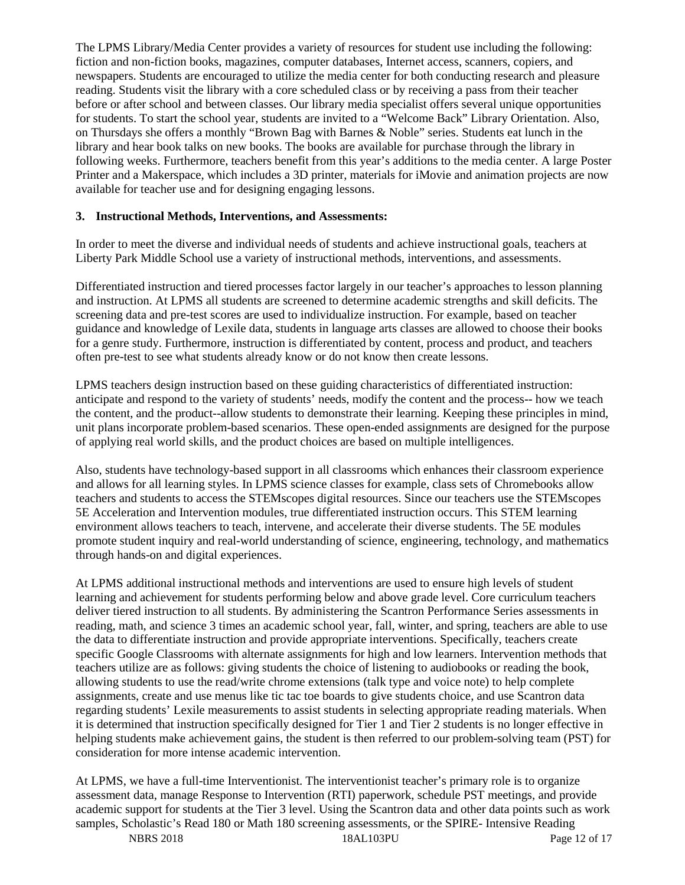The LPMS Library/Media Center provides a variety of resources for student use including the following: fiction and non-fiction books, magazines, computer databases, Internet access, scanners, copiers, and newspapers. Students are encouraged to utilize the media center for both conducting research and pleasure reading. Students visit the library with a core scheduled class or by receiving a pass from their teacher before or after school and between classes. Our library media specialist offers several unique opportunities for students. To start the school year, students are invited to a "Welcome Back" Library Orientation. Also, on Thursdays she offers a monthly "Brown Bag with Barnes & Noble" series. Students eat lunch in the library and hear book talks on new books. The books are available for purchase through the library in following weeks. Furthermore, teachers benefit from this year's additions to the media center. A large Poster Printer and a Makerspace, which includes a 3D printer, materials for iMovie and animation projects are now available for teacher use and for designing engaging lessons.

#### **3. Instructional Methods, Interventions, and Assessments:**

In order to meet the diverse and individual needs of students and achieve instructional goals, teachers at Liberty Park Middle School use a variety of instructional methods, interventions, and assessments.

Differentiated instruction and tiered processes factor largely in our teacher's approaches to lesson planning and instruction. At LPMS all students are screened to determine academic strengths and skill deficits. The screening data and pre-test scores are used to individualize instruction. For example, based on teacher guidance and knowledge of Lexile data, students in language arts classes are allowed to choose their books for a genre study. Furthermore, instruction is differentiated by content, process and product, and teachers often pre-test to see what students already know or do not know then create lessons.

LPMS teachers design instruction based on these guiding characteristics of differentiated instruction: anticipate and respond to the variety of students' needs, modify the content and the process-- how we teach the content, and the product--allow students to demonstrate their learning. Keeping these principles in mind, unit plans incorporate problem-based scenarios. These open-ended assignments are designed for the purpose of applying real world skills, and the product choices are based on multiple intelligences.

Also, students have technology-based support in all classrooms which enhances their classroom experience and allows for all learning styles. In LPMS science classes for example, class sets of Chromebooks allow teachers and students to access the STEMscopes digital resources. Since our teachers use the STEMscopes 5E Acceleration and Intervention modules, true differentiated instruction occurs. This STEM learning environment allows teachers to teach, intervene, and accelerate their diverse students. The 5E modules promote student inquiry and real-world understanding of science, engineering, technology, and mathematics through hands-on and digital experiences.

At LPMS additional instructional methods and interventions are used to ensure high levels of student learning and achievement for students performing below and above grade level. Core curriculum teachers deliver tiered instruction to all students. By administering the Scantron Performance Series assessments in reading, math, and science 3 times an academic school year, fall, winter, and spring, teachers are able to use the data to differentiate instruction and provide appropriate interventions. Specifically, teachers create specific Google Classrooms with alternate assignments for high and low learners. Intervention methods that teachers utilize are as follows: giving students the choice of listening to audiobooks or reading the book, allowing students to use the read/write chrome extensions (talk type and voice note) to help complete assignments, create and use menus like tic tac toe boards to give students choice, and use Scantron data regarding students' Lexile measurements to assist students in selecting appropriate reading materials. When it is determined that instruction specifically designed for Tier 1 and Tier 2 students is no longer effective in helping students make achievement gains, the student is then referred to our problem-solving team (PST) for consideration for more intense academic intervention.

At LPMS, we have a full-time Interventionist. The interventionist teacher's primary role is to organize assessment data, manage Response to Intervention (RTI) paperwork, schedule PST meetings, and provide academic support for students at the Tier 3 level. Using the Scantron data and other data points such as work samples, Scholastic's Read 180 or Math 180 screening assessments, or the SPIRE- Intensive Reading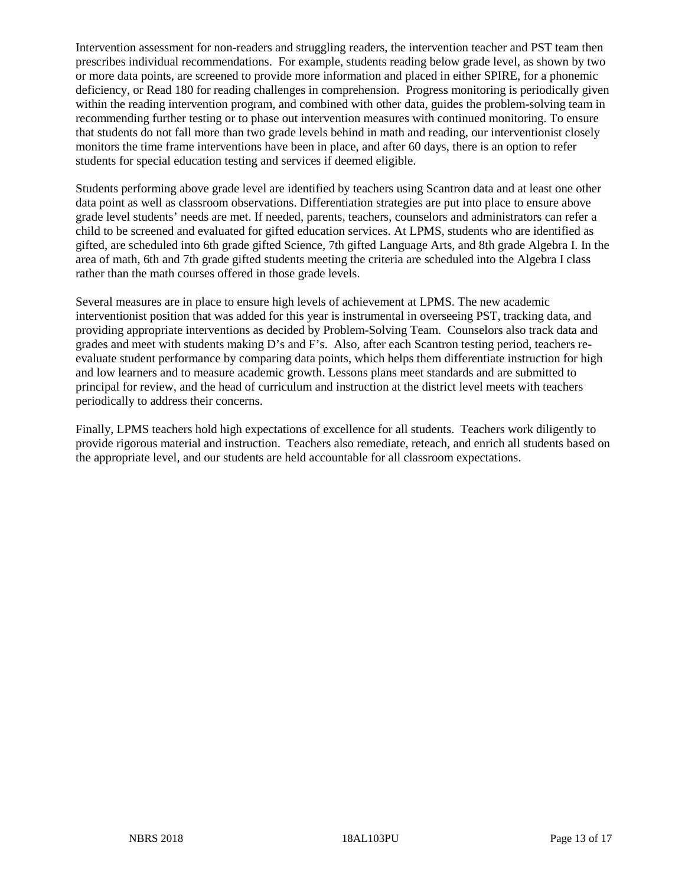Intervention assessment for non-readers and struggling readers, the intervention teacher and PST team then prescribes individual recommendations. For example, students reading below grade level, as shown by two or more data points, are screened to provide more information and placed in either SPIRE, for a phonemic deficiency, or Read 180 for reading challenges in comprehension. Progress monitoring is periodically given within the reading intervention program, and combined with other data, guides the problem-solving team in recommending further testing or to phase out intervention measures with continued monitoring. To ensure that students do not fall more than two grade levels behind in math and reading, our interventionist closely monitors the time frame interventions have been in place, and after 60 days, there is an option to refer students for special education testing and services if deemed eligible.

Students performing above grade level are identified by teachers using Scantron data and at least one other data point as well as classroom observations. Differentiation strategies are put into place to ensure above grade level students' needs are met. If needed, parents, teachers, counselors and administrators can refer a child to be screened and evaluated for gifted education services. At LPMS, students who are identified as gifted, are scheduled into 6th grade gifted Science, 7th gifted Language Arts, and 8th grade Algebra I. In the area of math, 6th and 7th grade gifted students meeting the criteria are scheduled into the Algebra I class rather than the math courses offered in those grade levels.

Several measures are in place to ensure high levels of achievement at LPMS. The new academic interventionist position that was added for this year is instrumental in overseeing PST, tracking data, and providing appropriate interventions as decided by Problem-Solving Team. Counselors also track data and grades and meet with students making D's and F's. Also, after each Scantron testing period, teachers reevaluate student performance by comparing data points, which helps them differentiate instruction for high and low learners and to measure academic growth. Lessons plans meet standards and are submitted to principal for review, and the head of curriculum and instruction at the district level meets with teachers periodically to address their concerns.

Finally, LPMS teachers hold high expectations of excellence for all students. Teachers work diligently to provide rigorous material and instruction. Teachers also remediate, reteach, and enrich all students based on the appropriate level, and our students are held accountable for all classroom expectations.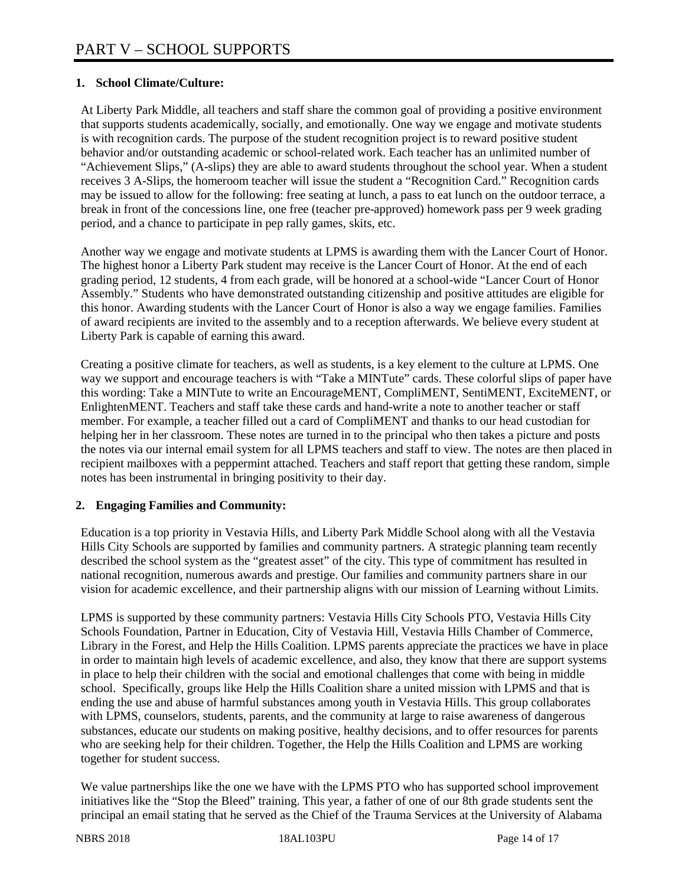## **1. School Climate/Culture:**

At Liberty Park Middle, all teachers and staff share the common goal of providing a positive environment that supports students academically, socially, and emotionally. One way we engage and motivate students is with recognition cards. The purpose of the student recognition project is to reward positive student behavior and/or outstanding academic or school-related work. Each teacher has an unlimited number of "Achievement Slips," (A-slips) they are able to award students throughout the school year. When a student receives 3 A-Slips, the homeroom teacher will issue the student a "Recognition Card." Recognition cards may be issued to allow for the following: free seating at lunch, a pass to eat lunch on the outdoor terrace, a break in front of the concessions line, one free (teacher pre-approved) homework pass per 9 week grading period, and a chance to participate in pep rally games, skits, etc.

Another way we engage and motivate students at LPMS is awarding them with the Lancer Court of Honor. The highest honor a Liberty Park student may receive is the Lancer Court of Honor. At the end of each grading period, 12 students, 4 from each grade, will be honored at a school-wide "Lancer Court of Honor Assembly." Students who have demonstrated outstanding citizenship and positive attitudes are eligible for this honor. Awarding students with the Lancer Court of Honor is also a way we engage families. Families of award recipients are invited to the assembly and to a reception afterwards. We believe every student at Liberty Park is capable of earning this award.

Creating a positive climate for teachers, as well as students, is a key element to the culture at LPMS. One way we support and encourage teachers is with "Take a MINTute" cards. These colorful slips of paper have this wording: Take a MINTute to write an EncourageMENT, CompliMENT, SentiMENT, ExciteMENT, or EnlightenMENT. Teachers and staff take these cards and hand-write a note to another teacher or staff member. For example, a teacher filled out a card of CompliMENT and thanks to our head custodian for helping her in her classroom. These notes are turned in to the principal who then takes a picture and posts the notes via our internal email system for all LPMS teachers and staff to view. The notes are then placed in recipient mailboxes with a peppermint attached. Teachers and staff report that getting these random, simple notes has been instrumental in bringing positivity to their day.

#### **2. Engaging Families and Community:**

Education is a top priority in Vestavia Hills, and Liberty Park Middle School along with all the Vestavia Hills City Schools are supported by families and community partners. A strategic planning team recently described the school system as the "greatest asset" of the city. This type of commitment has resulted in national recognition, numerous awards and prestige. Our families and community partners share in our vision for academic excellence, and their partnership aligns with our mission of Learning without Limits.

LPMS is supported by these community partners: Vestavia Hills City Schools PTO, Vestavia Hills City Schools Foundation, Partner in Education, City of Vestavia Hill, Vestavia Hills Chamber of Commerce, Library in the Forest, and Help the Hills Coalition. LPMS parents appreciate the practices we have in place in order to maintain high levels of academic excellence, and also, they know that there are support systems in place to help their children with the social and emotional challenges that come with being in middle school. Specifically, groups like Help the Hills Coalition share a united mission with LPMS and that is ending the use and abuse of harmful substances among youth in Vestavia Hills. This group collaborates with LPMS, counselors, students, parents, and the community at large to raise awareness of dangerous substances, educate our students on making positive, healthy decisions, and to offer resources for parents who are seeking help for their children. Together, the Help the Hills Coalition and LPMS are working together for student success.

We value partnerships like the one we have with the LPMS PTO who has supported school improvement initiatives like the "Stop the Bleed" training. This year, a father of one of our 8th grade students sent the principal an email stating that he served as the Chief of the Trauma Services at the University of Alabama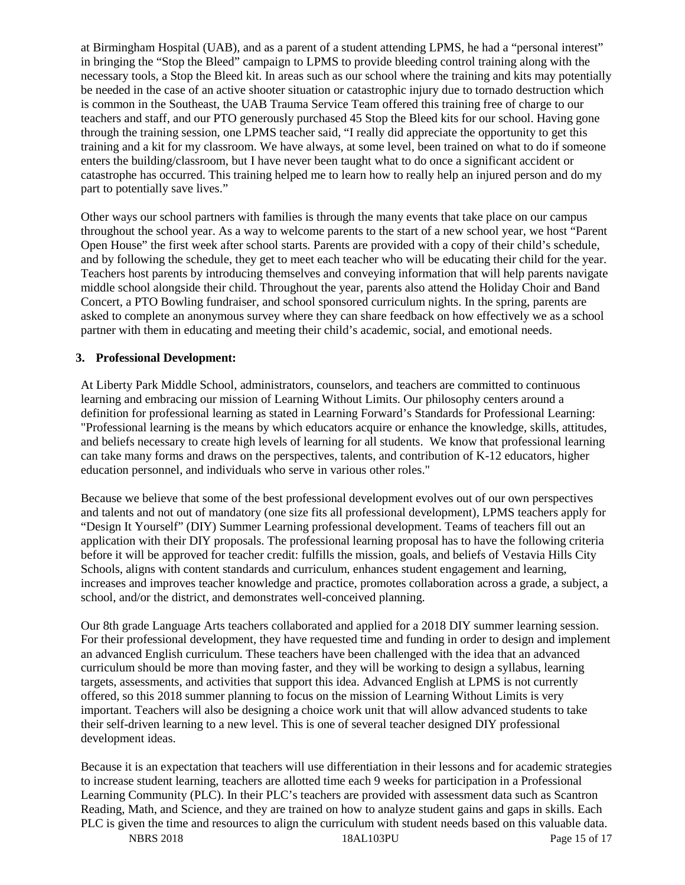at Birmingham Hospital (UAB), and as a parent of a student attending LPMS, he had a "personal interest" in bringing the "Stop the Bleed" campaign to LPMS to provide bleeding control training along with the necessary tools, a Stop the Bleed kit. In areas such as our school where the training and kits may potentially be needed in the case of an active shooter situation or catastrophic injury due to tornado destruction which is common in the Southeast, the UAB Trauma Service Team offered this training free of charge to our teachers and staff, and our PTO generously purchased 45 Stop the Bleed kits for our school. Having gone through the training session, one LPMS teacher said, "I really did appreciate the opportunity to get this training and a kit for my classroom. We have always, at some level, been trained on what to do if someone enters the building/classroom, but I have never been taught what to do once a significant accident or catastrophe has occurred. This training helped me to learn how to really help an injured person and do my part to potentially save lives."

Other ways our school partners with families is through the many events that take place on our campus throughout the school year. As a way to welcome parents to the start of a new school year, we host "Parent Open House" the first week after school starts. Parents are provided with a copy of their child's schedule, and by following the schedule, they get to meet each teacher who will be educating their child for the year. Teachers host parents by introducing themselves and conveying information that will help parents navigate middle school alongside their child. Throughout the year, parents also attend the Holiday Choir and Band Concert, a PTO Bowling fundraiser, and school sponsored curriculum nights. In the spring, parents are asked to complete an anonymous survey where they can share feedback on how effectively we as a school partner with them in educating and meeting their child's academic, social, and emotional needs.

#### **3. Professional Development:**

At Liberty Park Middle School, administrators, counselors, and teachers are committed to continuous learning and embracing our mission of Learning Without Limits. Our philosophy centers around a definition for professional learning as stated in Learning Forward's Standards for Professional Learning: "Professional learning is the means by which educators acquire or enhance the knowledge, skills, attitudes, and beliefs necessary to create high levels of learning for all students. We know that professional learning can take many forms and draws on the perspectives, talents, and contribution of K-12 educators, higher education personnel, and individuals who serve in various other roles."

Because we believe that some of the best professional development evolves out of our own perspectives and talents and not out of mandatory (one size fits all professional development), LPMS teachers apply for "Design It Yourself" (DIY) Summer Learning professional development. Teams of teachers fill out an application with their DIY proposals. The professional learning proposal has to have the following criteria before it will be approved for teacher credit: fulfills the mission, goals, and beliefs of Vestavia Hills City Schools, aligns with content standards and curriculum, enhances student engagement and learning, increases and improves teacher knowledge and practice, promotes collaboration across a grade, a subject, a school, and/or the district, and demonstrates well-conceived planning.

Our 8th grade Language Arts teachers collaborated and applied for a 2018 DIY summer learning session. For their professional development, they have requested time and funding in order to design and implement an advanced English curriculum. These teachers have been challenged with the idea that an advanced curriculum should be more than moving faster, and they will be working to design a syllabus, learning targets, assessments, and activities that support this idea. Advanced English at LPMS is not currently offered, so this 2018 summer planning to focus on the mission of Learning Without Limits is very important. Teachers will also be designing a choice work unit that will allow advanced students to take their self-driven learning to a new level. This is one of several teacher designed DIY professional development ideas.

Because it is an expectation that teachers will use differentiation in their lessons and for academic strategies to increase student learning, teachers are allotted time each 9 weeks for participation in a Professional Learning Community (PLC). In their PLC's teachers are provided with assessment data such as Scantron Reading, Math, and Science, and they are trained on how to analyze student gains and gaps in skills. Each PLC is given the time and resources to align the curriculum with student needs based on this valuable data.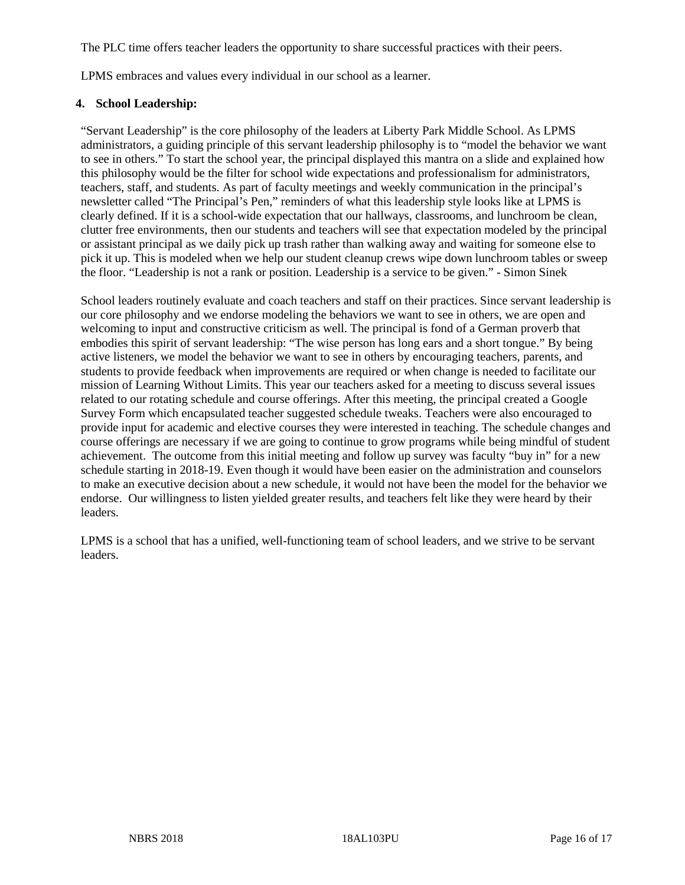The PLC time offers teacher leaders the opportunity to share successful practices with their peers.

LPMS embraces and values every individual in our school as a learner.

#### **4. School Leadership:**

"Servant Leadership" is the core philosophy of the leaders at Liberty Park Middle School. As LPMS administrators, a guiding principle of this servant leadership philosophy is to "model the behavior we want to see in others." To start the school year, the principal displayed this mantra on a slide and explained how this philosophy would be the filter for school wide expectations and professionalism for administrators, teachers, staff, and students. As part of faculty meetings and weekly communication in the principal's newsletter called "The Principal's Pen," reminders of what this leadership style looks like at LPMS is clearly defined. If it is a school-wide expectation that our hallways, classrooms, and lunchroom be clean, clutter free environments, then our students and teachers will see that expectation modeled by the principal or assistant principal as we daily pick up trash rather than walking away and waiting for someone else to pick it up. This is modeled when we help our student cleanup crews wipe down lunchroom tables or sweep the floor. "Leadership is not a rank or position. Leadership is a service to be given." - Simon Sinek

School leaders routinely evaluate and coach teachers and staff on their practices. Since servant leadership is our core philosophy and we endorse modeling the behaviors we want to see in others, we are open and welcoming to input and constructive criticism as well. The principal is fond of a German proverb that embodies this spirit of servant leadership: "The wise person has long ears and a short tongue." By being active listeners, we model the behavior we want to see in others by encouraging teachers, parents, and students to provide feedback when improvements are required or when change is needed to facilitate our mission of Learning Without Limits. This year our teachers asked for a meeting to discuss several issues related to our rotating schedule and course offerings. After this meeting, the principal created a Google Survey Form which encapsulated teacher suggested schedule tweaks. Teachers were also encouraged to provide input for academic and elective courses they were interested in teaching. The schedule changes and course offerings are necessary if we are going to continue to grow programs while being mindful of student achievement. The outcome from this initial meeting and follow up survey was faculty "buy in" for a new schedule starting in 2018-19. Even though it would have been easier on the administration and counselors to make an executive decision about a new schedule, it would not have been the model for the behavior we endorse. Our willingness to listen yielded greater results, and teachers felt like they were heard by their leaders.

LPMS is a school that has a unified, well-functioning team of school leaders, and we strive to be servant leaders.